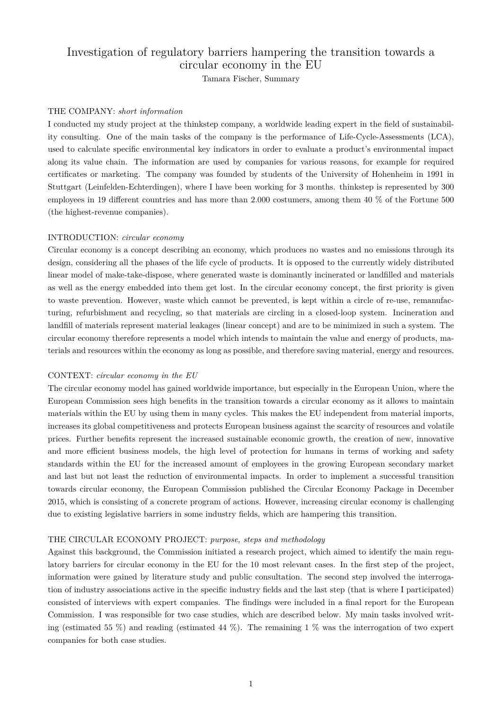# Investigation of regulatory barriers hampering the transition towards a circular economy in the EU

Tamara Fischer, Summary

#### THE COMPANY: *short information*

I conducted my study project at the thinkstep company, a worldwide leading expert in the field of sustainability consulting. One of the main tasks of the company is the performance of Life-Cycle-Assessments (LCA), used to calculate specific environmental key indicators in order to evaluate a product's environmental impact along its value chain. The information are used by companies for various reasons, for example for required certificates or marketing. The company was founded by students of the University of Hohenheim in 1991 in Stuttgart (Leinfelden-Echterdingen), where I have been working for 3 months. thinkstep is represented by 300 employees in 19 different countries and has more than 2.000 costumers, among them 40 % of the Fortune 500 (the highest-revenue companies).

#### INTRODUCTION: *circular economy*

Circular economy is a concept describing an economy, which produces no wastes and no emissions through its design, considering all the phases of the life cycle of products. It is opposed to the currently widely distributed linear model of make-take-dispose, where generated waste is dominantly incinerated or landfilled and materials as well as the energy embedded into them get lost. In the circular economy concept, the first priority is given to waste prevention. However, waste which cannot be prevented, is kept within a circle of re-use, remanufacturing, refurbishment and recycling, so that materials are circling in a closed-loop system. Incineration and landfill of materials represent material leakages (linear concept) and are to be minimized in such a system. The circular economy therefore represents a model which intends to maintain the value and energy of products, materials and resources within the economy as long as possible, and therefore saving material, energy and resources.

#### CONTEXT: *circular economy in the EU*

The circular economy model has gained worldwide importance, but especially in the European Union, where the European Commission sees high benefits in the transition towards a circular economy as it allows to maintain materials within the EU by using them in many cycles. This makes the EU independent from material imports, increases its global competitiveness and protects European business against the scarcity of resources and volatile prices. Further benefits represent the increased sustainable economic growth, the creation of new, innovative and more efficient business models, the high level of protection for humans in terms of working and safety standards within the EU for the increased amount of employees in the growing European secondary market and last but not least the reduction of environmental impacts. In order to implement a successful transition towards circular economy, the European Commission published the Circular Economy Package in December 2015, which is consisting of a concrete program of actions. However, increasing circular economy is challenging due to existing legislative barriers in some industry fields, which are hampering this transition.

#### THE CIRCULAR ECONOMY PROJECT: *purpose, steps and methodology*

Against this background, the Commission initiated a research project, which aimed to identify the main regulatory barriers for circular economy in the EU for the 10 most relevant cases. In the first step of the project, information were gained by literature study and public consultation. The second step involved the interrogation of industry associations active in the specific industry fields and the last step (that is where I participated) consisted of interviews with expert companies. The findings were included in a final report for the European Commission. I was responsible for two case studies, which are described below. My main tasks involved writing (estimated 55  $\%$ ) and reading (estimated 44  $\%$ ). The remaining 1  $\%$  was the interrogation of two expert companies for both case studies.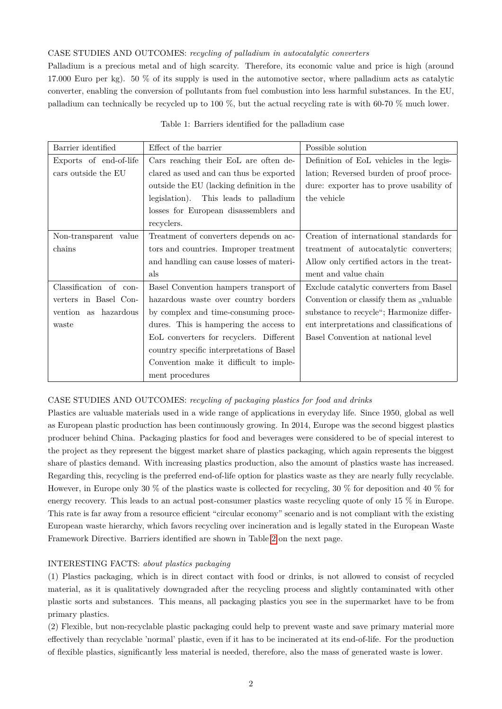### CASE STUDIES AND OUTCOMES: *recycling of palladium in autocatalytic converters*

Palladium is a precious metal and of high scarcity. Therefore, its economic value and price is high (around 17.000 Euro per kg). 50 % of its supply is used in the automotive sector, where palladium acts as catalytic converter, enabling the conversion of pollutants from fuel combustion into less harmful substances. In the EU, palladium can technically be recycled up to 100 %, but the actual recycling rate is with 60-70 % much lower.

| Barrier identified     | Effect of the barrier                     | Possible solution                          |  |  |
|------------------------|-------------------------------------------|--------------------------------------------|--|--|
| Exports of end-of-life | Cars reaching their EoL are often de-     | Definition of EoL vehicles in the legis-   |  |  |
| cars outside the EU    | clared as used and can thus be exported   | lation; Reversed burden of proof proce-    |  |  |
|                        | outside the EU (lacking definition in the | dure: exporter has to prove usability of   |  |  |
|                        | legislation). This leads to palladium     | the vehicle                                |  |  |
|                        | losses for European disassemblers and     |                                            |  |  |
|                        | recyclers.                                |                                            |  |  |
| Non-transparent value  | Treatment of converters depends on ac-    | Creation of international standards for    |  |  |
| chains                 | tors and countries. Improper treatment    | treatment of autocatalytic converters;     |  |  |
|                        | and handling can cause losses of materi-  | Allow only certified actors in the treat-  |  |  |
|                        | als                                       | ment and value chain                       |  |  |
| Classification of con- | Basel Convention hampers transport of     | Exclude catalytic converters from Basel    |  |  |
| verters in Basel Con-  | hazardous waste over country borders      | Convention or classify them as "valuable   |  |  |
| vention as hazardous   | by complex and time-consuming proce-      | substance to recycle"; Harmonize differ-   |  |  |
| waste                  | dures. This is hampering the access to    | ent interpretations and classifications of |  |  |
|                        | EoL converters for recyclers. Different   | Basel Convention at national level         |  |  |
|                        | country specific interpretations of Basel |                                            |  |  |
|                        | Convention make it difficult to imple-    |                                            |  |  |
|                        | ment procedures                           |                                            |  |  |

|  |  |  |  |  | Table 1: Barriers identified for the palladium case |  |
|--|--|--|--|--|-----------------------------------------------------|--|
|--|--|--|--|--|-----------------------------------------------------|--|

## CASE STUDIES AND OUTCOMES: *recycling of packaging plastics for food and drinks*

Plastics are valuable materials used in a wide range of applications in everyday life. Since 1950, global as well as European plastic production has been continuously growing. In 2014, Europe was the second biggest plastics producer behind China. Packaging plastics for food and beverages were considered to be of special interest to the project as they represent the biggest market share of plastics packaging, which again represents the biggest share of plastics demand. With increasing plastics production, also the amount of plastics waste has increased. Regarding this, recycling is the preferred end-of-life option for plastics waste as they are nearly fully recyclable. However, in Europe only 30 % of the plastics waste is collected for recycling, 30 % for deposition and 40 % for energy recovery. This leads to an actual post-consumer plastics waste recycling quote of only 15 % in Europe. This rate is far away from a resource efficient "circular economy" scenario and is not compliant with the existing European waste hierarchy, which favors recycling over incineration and is legally stated in the European Waste Framework Directive. Barriers identified are shown in Table [2](#page-2-0) on the next page.

#### INTERESTING FACTS: *about plastics packaging*

(1) Plastics packaging, which is in direct contact with food or drinks, is not allowed to consist of recycled material, as it is qualitatively downgraded after the recycling process and slightly contaminated with other plastic sorts and substances. This means, all packaging plastics you see in the supermarket have to be from primary plastics.

(2) Flexible, but non-recyclable plastic packaging could help to prevent waste and save primary material more effectively than recyclable 'normal' plastic, even if it has to be incinerated at its end-of-life. For the production of flexible plastics, significantly less material is needed, therefore, also the mass of generated waste is lower.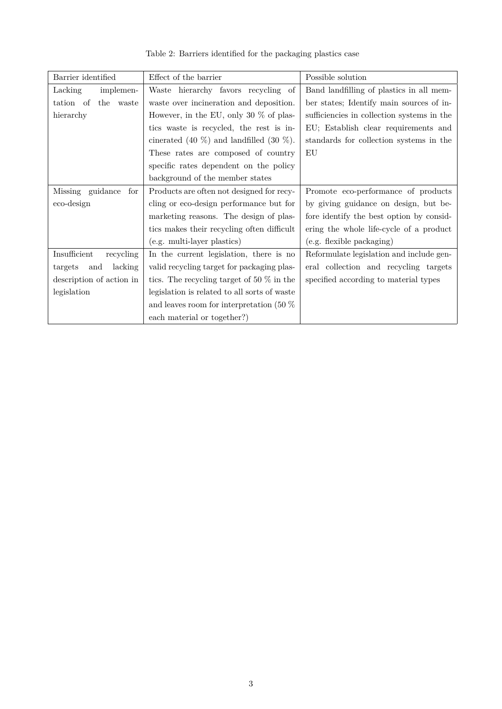<span id="page-2-0"></span>

| Barrier identified        | Effect of the barrier                           | Possible solution                          |  |
|---------------------------|-------------------------------------------------|--------------------------------------------|--|
| Lacking<br>implemen-      | Waste hierarchy favors recycling of             | Band landfilling of plastics in all mem-   |  |
| tation of<br>the<br>waste | waste over incineration and deposition.         | ber states; Identify main sources of in-   |  |
| hierarchy                 | However, in the EU, only 30 $\%$ of plas-       | sufficiencies in collection systems in the |  |
|                           | tics waste is recycled, the rest is in-         | EU; Establish clear requirements and       |  |
|                           | cinerated (40 $\%$ ) and landfilled (30 $\%$ ). | standards for collection systems in the    |  |
|                           | These rates are composed of country             | EU                                         |  |
|                           | specific rates dependent on the policy          |                                            |  |
|                           | background of the member states                 |                                            |  |
| Missing guidance<br>for   | Products are often not designed for recy-       | Promote eco-performance of products        |  |
| eco-design                | cling or eco-design performance but for         | by giving guidance on design, but be-      |  |
|                           | marketing reasons. The design of plas-          | fore identify the best option by consid-   |  |
|                           | tics makes their recycling often difficult      | ering the whole life-cycle of a product    |  |
|                           | (e.g. multi-layer plastics)                     | (e.g. flexible packaging)                  |  |
| Insufficient<br>recycling | In the current legislation, there is no         | Reformulate legislation and include gen-   |  |
| lacking<br>targets<br>and | valid recycling target for packaging plas-      | eral collection and recycling targets      |  |
| description of action in  | tics. The recycling target of 50 $\%$ in the    | specified according to material types      |  |
| legislation               | legislation is related to all sorts of waste    |                                            |  |
|                           | and leaves room for interpretation (50 $\%$ )   |                                            |  |
|                           | each material or together?)                     |                                            |  |

Table 2: Barriers identified for the packaging plastics case